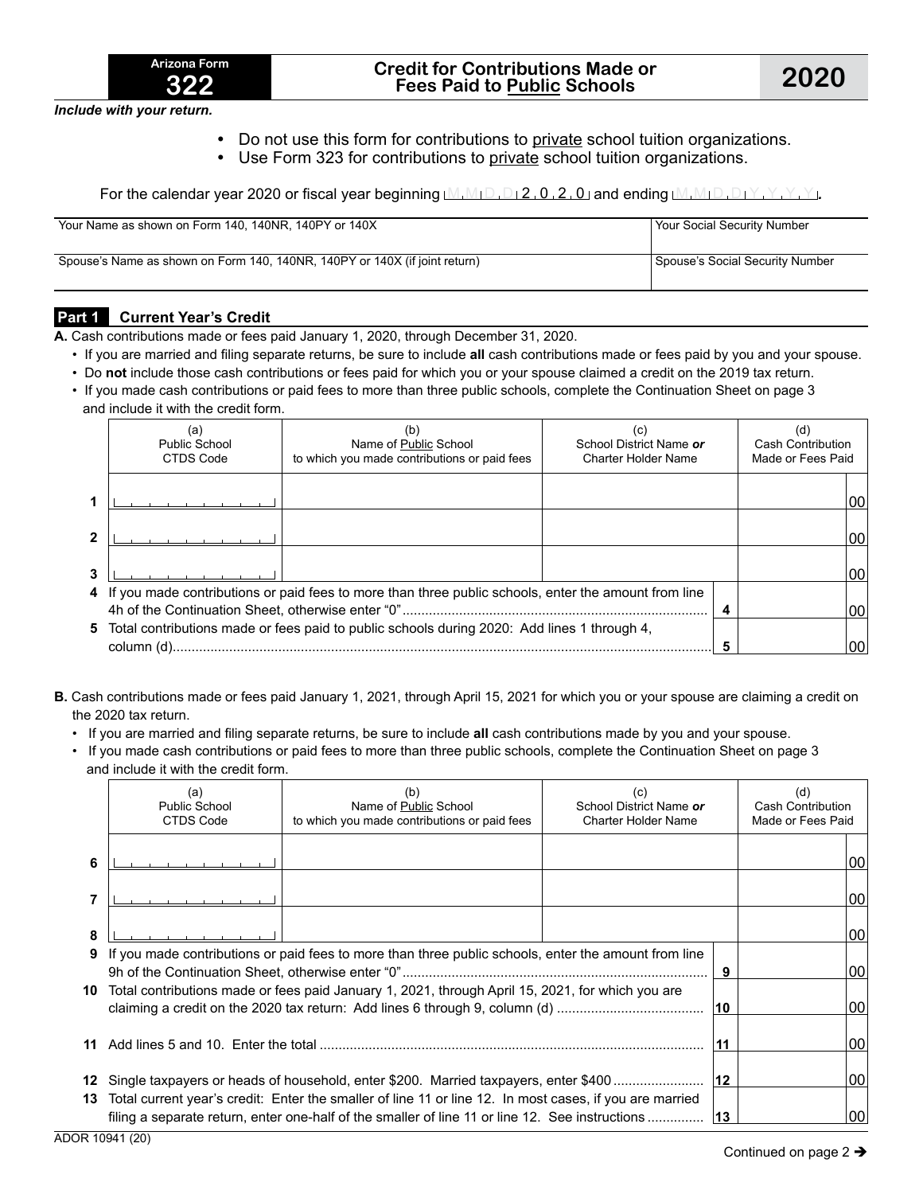

*Include with your return.*

- Do not use this form for contributions to private school tuition organizations.
- Use Form 323 for contributions to private school tuition organizations.

For the calendar year 2020 or fiscal year beginning  $[M, M \cap D, D \mid 2, 0, 2, 0$  and ending  $[M, M \cap D, D \mid Y, Y, Y, Y]$ 

| Your Name as shown on Form 140, 140NR, 140PY or 140X                       | Your Social Security Number     |
|----------------------------------------------------------------------------|---------------------------------|
| Spouse's Name as shown on Form 140, 140NR, 140PY or 140X (if joint return) | Spouse's Social Security Number |

### **Part 1 Current Year's Credit**

**A.** Cash contributions made or fees paid January 1, 2020, through December 31, 2020.

- If you are married and filing separate returns, be sure to include **all** cash contributions made or fees paid by you and your spouse.
- Do **not** include those cash contributions or fees paid for which you or your spouse claimed a credit on the 2019 tax return.
- If you made cash contributions or paid fees to more than three public schools, complete the Continuation Sheet on page 3 and include it with the credit form.

| (a)<br><b>Public School</b><br>CTDS Code | Name of Public School<br>to which you made contributions or paid fees                                  | (C<br>School District Name or<br><b>Charter Holder Name</b> | ď<br><b>Cash Contribution</b><br>Made or Fees Paid |    |
|------------------------------------------|--------------------------------------------------------------------------------------------------------|-------------------------------------------------------------|----------------------------------------------------|----|
|                                          |                                                                                                        |                                                             |                                                    | 00 |
|                                          |                                                                                                        |                                                             |                                                    | 00 |
|                                          |                                                                                                        |                                                             |                                                    | 00 |
|                                          | 4 If you made contributions or paid fees to more than three public schools, enter the amount from line |                                                             |                                                    |    |
|                                          | 5 Total contributions made or fees paid to public schools during 2020: Add lines 1 through 4,          |                                                             |                                                    | 00 |
|                                          |                                                                                                        |                                                             |                                                    | 00 |

- **B.** Cash contributions made or fees paid January 1, 2021, through April 15, 2021 for which you or your spouse are claiming a credit on the 2020 tax return.
	- If you are married and filing separate returns, be sure to include **all** cash contributions made by you and your spouse.
	- If you made cash contributions or paid fees to more than three public schools, complete the Continuation Sheet on page 3 and include it with the credit form.

|   | (a)<br>Public School<br>CTDS Code                                                                                                                                                                                 | (b)<br>Name of Public School<br>to which you made contributions or paid fees                                                                                                       | (c)<br>School District Name or<br><b>Charter Holder Name</b> |    | (d)<br><b>Cash Contribution</b><br>Made or Fees Paid |     |
|---|-------------------------------------------------------------------------------------------------------------------------------------------------------------------------------------------------------------------|------------------------------------------------------------------------------------------------------------------------------------------------------------------------------------|--------------------------------------------------------------|----|------------------------------------------------------|-----|
| 6 |                                                                                                                                                                                                                   |                                                                                                                                                                                    |                                                              |    |                                                      | 100 |
|   |                                                                                                                                                                                                                   |                                                                                                                                                                                    |                                                              |    |                                                      | 100 |
| 8 |                                                                                                                                                                                                                   |                                                                                                                                                                                    |                                                              |    |                                                      | 100 |
|   |                                                                                                                                                                                                                   | 9 If you made contributions or paid fees to more than three public schools, enter the amount from line                                                                             |                                                              | 9  |                                                      | 00  |
|   |                                                                                                                                                                                                                   | 10 Total contributions made or fees paid January 1, 2021, through April 15, 2021, for which you are<br>claiming a credit on the 2020 tax return: Add lines 6 through 9, column (d) |                                                              | 10 |                                                      | 00  |
|   |                                                                                                                                                                                                                   |                                                                                                                                                                                    |                                                              |    |                                                      | 00  |
|   | 12<br><b>12</b> Single taxpayers or heads of household, enter \$200. Married taxpayers, enter \$400<br>13 Total current year's credit: Enter the smaller of line 11 or line 12. In most cases, if you are married |                                                                                                                                                                                    |                                                              |    |                                                      | 100 |
|   |                                                                                                                                                                                                                   | filing a separate return, enter one-half of the smaller of line 11 or line 12. See instructions                                                                                    |                                                              | 13 |                                                      | 100 |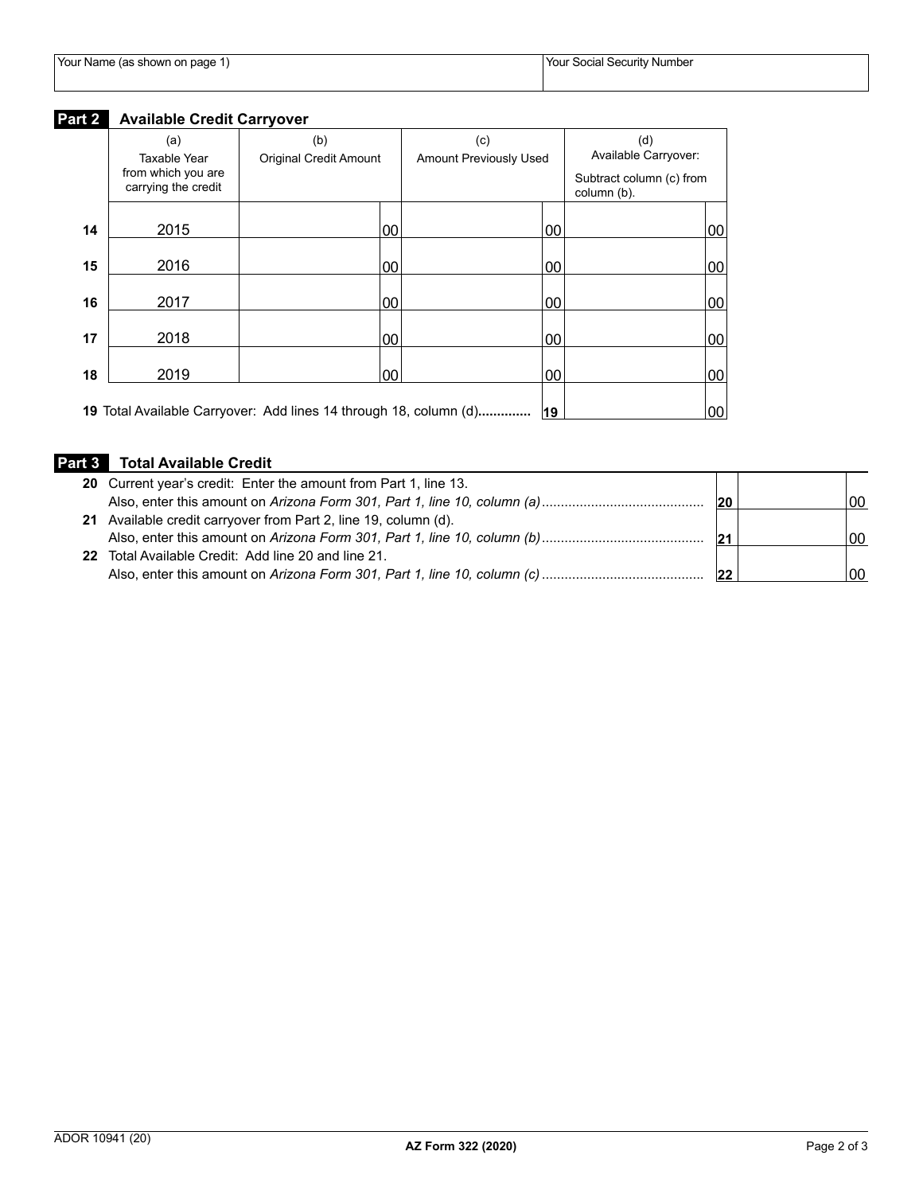| Your Name (as shown on page 1) | Your Social Security Number |
|--------------------------------|-----------------------------|

## **Part 2 Available Credit Carryover**

|    | (a)                                                       | (b)                                                               | (c)                           |    | (d)                                                             |        |
|----|-----------------------------------------------------------|-------------------------------------------------------------------|-------------------------------|----|-----------------------------------------------------------------|--------|
|    | Taxable Year<br>from which you are<br>carrying the credit | <b>Original Credit Amount</b>                                     | <b>Amount Previously Used</b> |    | Available Carryover:<br>Subtract column (c) from<br>column (b). |        |
| 14 | 2015                                                      | 00                                                                |                               | 00 |                                                                 | $00\,$ |
| 15 | 2016                                                      | 00                                                                |                               | 00 |                                                                 | $00\,$ |
| 16 | 2017                                                      | 00                                                                |                               | 00 |                                                                 | $00\,$ |
| 17 | 2018                                                      | 00                                                                |                               | 00 |                                                                 | $00\,$ |
| 18 | 2019                                                      | 00                                                                |                               | 00 |                                                                 | $00\,$ |
|    |                                                           | 19 Total Available Carryover: Add lines 14 through 18, column (d) |                               | 19 |                                                                 | 00     |

# **Part 3 Total Available Credit**

| 20 Current year's credit: Enter the amount from Part 1, line 13. |    |    |
|------------------------------------------------------------------|----|----|
|                                                                  | 20 | 00 |
| 21 Available credit carryover from Part 2, line 19, column (d).  |    |    |
|                                                                  | 21 | 00 |
| 22 Total Available Credit: Add line 20 and line 21.              |    |    |
|                                                                  | 22 | იი |